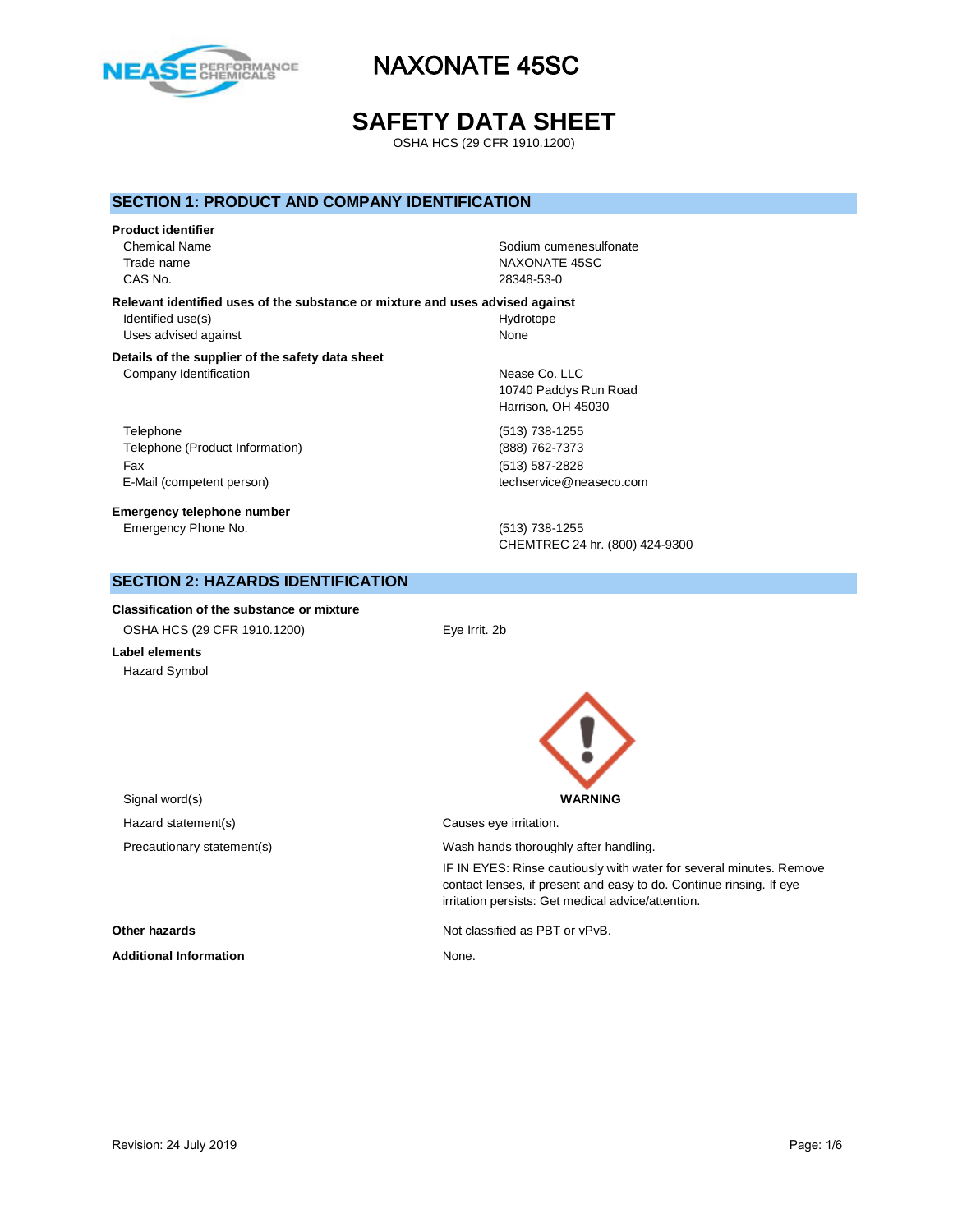

# **SAFETY DATA SHEET**

OSHA HCS (29 CFR 1910.1200)

### **SECTION 1: PRODUCT AND COMPANY IDENTIFICATION**

#### **Product identifier**

CAS No. 28348-53-0

Chemical Name **Solid Name** Sodium cumenesulfonate Trade name NAXONATE 45SC

**Relevant identified uses of the substance or mixture and uses advised against** Identified use(s) and the extent of the Hydrotope Hydrotope Uses advised against None

#### **Details of the supplier of the safety data sheet** Company Identification **Nearly 19** Nease Co. LLC

Telephone (513) 738-1255 Telephone (Product Information) (888) 762-7373 Fax (513) 587-2828 E-Mail (competent person) example a second techservice@neaseco.com

**Emergency telephone number** Emergency Phone No. (513) 738-1255

10740 Paddys Run Road Harrison, OH 45030

CHEMTREC 24 hr. (800) 424-9300

### **SECTION 2: HAZARDS IDENTIFICATION**

**Classification of the substance or mixture** OSHA HCS (29 CFR 1910.1200) Eye Irrit. 2b

**Label elements** Hazard Symbol



irritation persists: Get medical advice/attention.

IF IN EYES: Rinse cautiously with water for several minutes. Remove contact lenses, if present and easy to do. Continue rinsing. If eye

Signal word(s) **WARNING** Hazard statement(s) example a control causes eye irritation. Precautionary statement(s) example a wash hands thoroughly after handling.

**Other hazards Not classified as PBT or vPvB.** 

Additional Information **None.** None.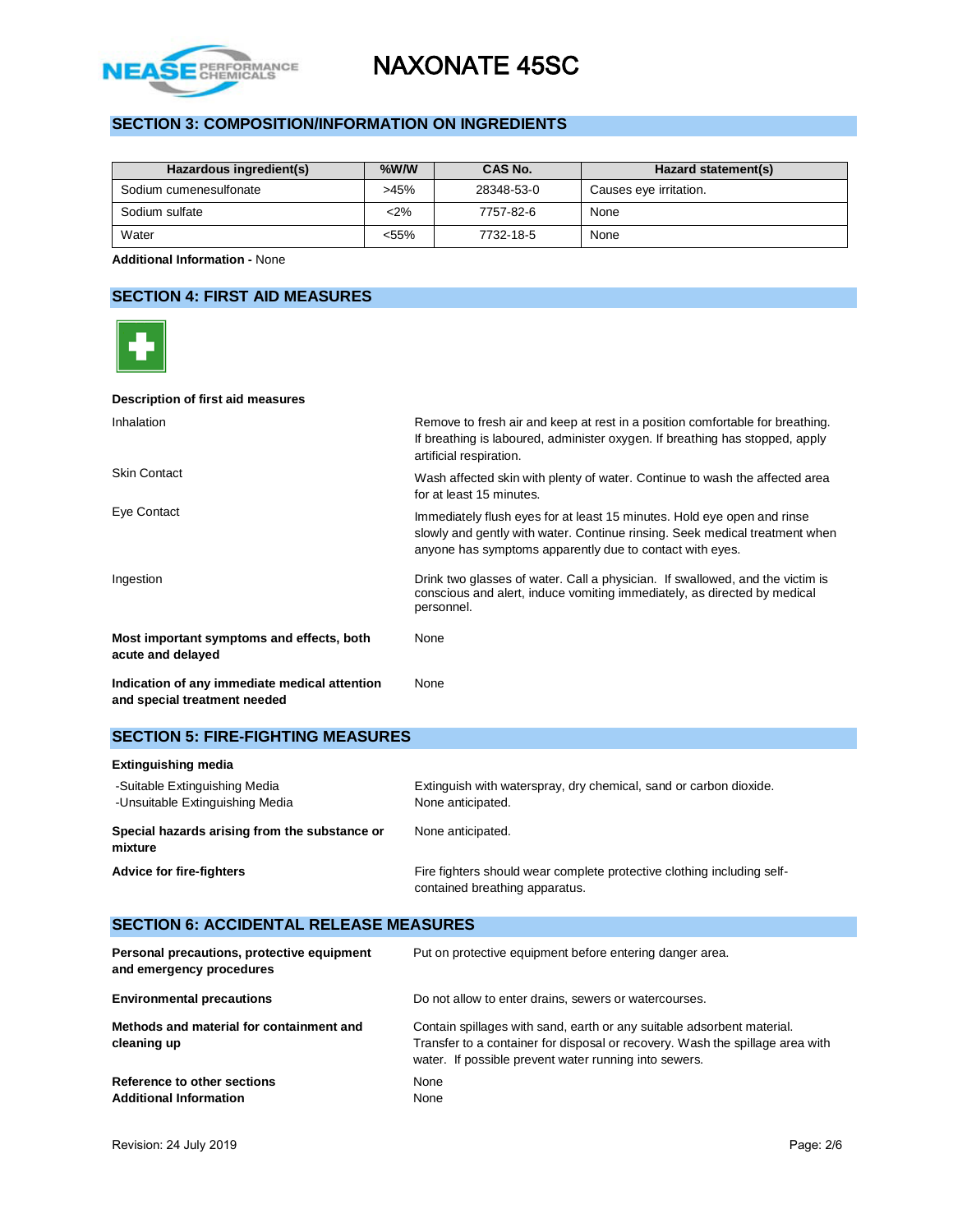

# **SECTION 3: COMPOSITION/INFORMATION ON INGREDIENTS**

| Hazardous ingredient(s) | $%$ W/W | CAS No.    | Hazard statement(s)    |
|-------------------------|---------|------------|------------------------|
| Sodium cumenesulfonate  | >45%    | 28348-53-0 | Causes eye irritation. |
| Sodium sulfate          | $2\%$   | 7757-82-6  | None                   |
| Water                   | <55%    | 7732-18-5  | None                   |

**Additional Information -** None

### **SECTION 4: FIRST AID MEASURES**

| Description of first aid measures                                             |                                                                                                                                                                                                                    |
|-------------------------------------------------------------------------------|--------------------------------------------------------------------------------------------------------------------------------------------------------------------------------------------------------------------|
| Inhalation                                                                    | Remove to fresh air and keep at rest in a position comfortable for breathing.<br>If breathing is laboured, administer oxygen. If breathing has stopped, apply<br>artificial respiration.                           |
| <b>Skin Contact</b>                                                           | Wash affected skin with plenty of water. Continue to wash the affected area<br>for at least 15 minutes.                                                                                                            |
| Eye Contact                                                                   | Immediately flush eyes for at least 15 minutes. Hold eye open and rinse<br>slowly and gently with water. Continue rinsing. Seek medical treatment when<br>anyone has symptoms apparently due to contact with eyes. |
| Ingestion                                                                     | Drink two glasses of water. Call a physician. If swallowed, and the victim is<br>conscious and alert, induce vomiting immediately, as directed by medical<br>personnel.                                            |
| Most important symptoms and effects, both<br>acute and delayed                | None                                                                                                                                                                                                               |
| Indication of any immediate medical attention<br>and special treatment needed | None                                                                                                                                                                                                               |

### **SECTION 5: FIRE-FIGHTING MEASURES**

Additional Information **None** 

| <b>Extinguishing media</b>                                       |                                                                                                          |  |  |
|------------------------------------------------------------------|----------------------------------------------------------------------------------------------------------|--|--|
| -Suitable Extinguishing Media<br>-Unsuitable Extinguishing Media | Extinguish with waterspray, dry chemical, sand or carbon dioxide.<br>None anticipated.                   |  |  |
| Special hazards arising from the substance or<br>mixture         | None anticipated.                                                                                        |  |  |
| <b>Advice for fire-fighters</b>                                  | Fire fighters should wear complete protective clothing including self-<br>contained breathing apparatus. |  |  |

### **SECTION 6: ACCIDENTAL RELEASE MEASURES Personal precautions, protective equipment and emergency procedures** Put on protective equipment before entering danger area. **Environmental precautions Do not allow to enter drains, sewers or watercourses. Methods and material for containment and cleaning up** Contain spillages with sand, earth or any suitable adsorbent material. Transfer to a container for disposal or recovery. Wash the spillage area with water. If possible prevent water running into sewers. **Reference to other sections None**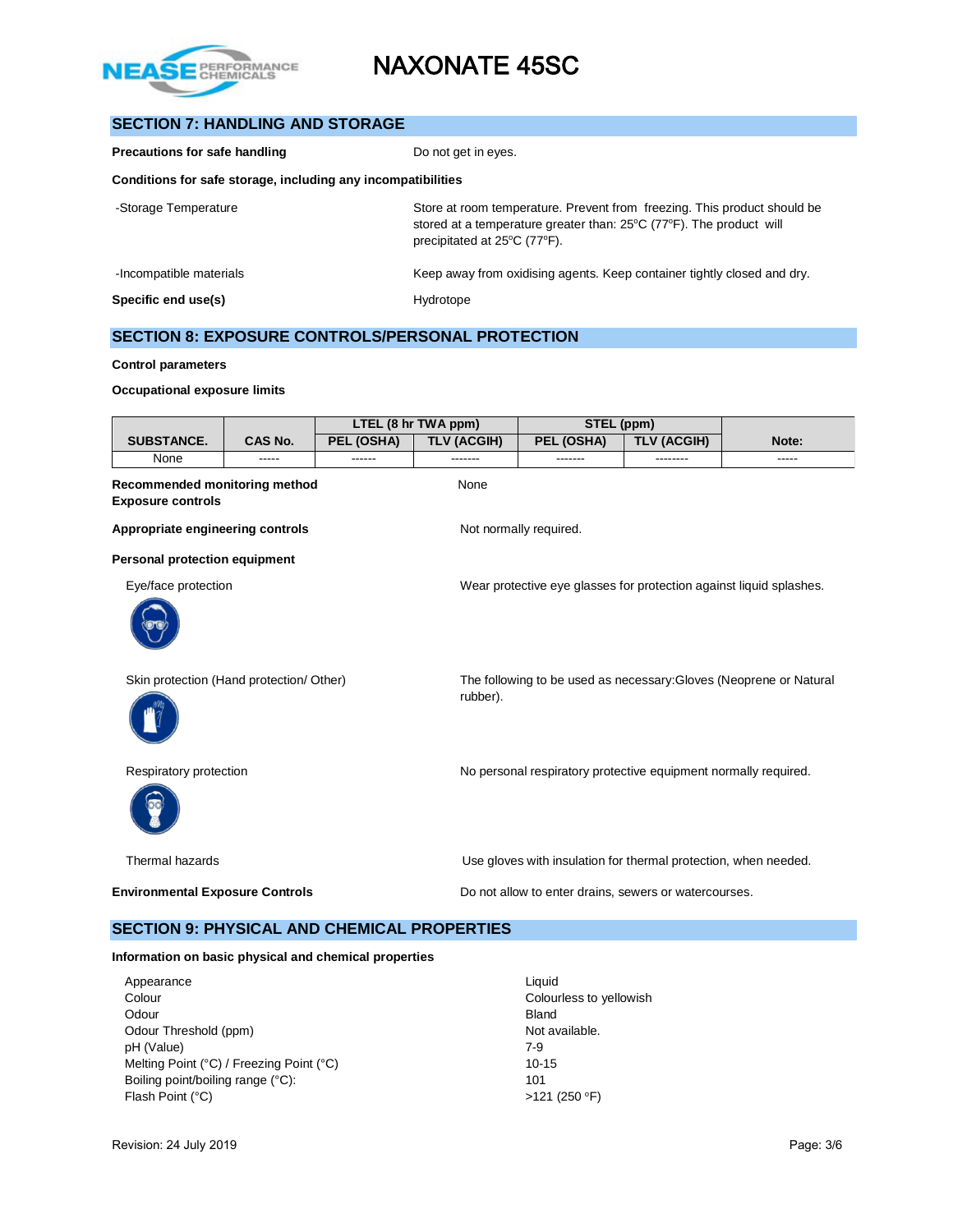

# **SECTION 7: HANDLING AND STORAGE**

| Precautions for safe handling                                | Do not get in eyes.                                                                                                                                                             |  |  |  |
|--------------------------------------------------------------|---------------------------------------------------------------------------------------------------------------------------------------------------------------------------------|--|--|--|
| Conditions for safe storage, including any incompatibilities |                                                                                                                                                                                 |  |  |  |
| -Storage Temperature                                         | Store at room temperature. Prevent from freezing. This product should be<br>stored at a temperature greater than: 25°C (77°F). The product will<br>precipitated at 25°C (77°F). |  |  |  |
| -Incompatible materials                                      | Keep away from oxidising agents. Keep container tightly closed and dry.                                                                                                         |  |  |  |
| Specific end use(s)                                          | Hydrotope                                                                                                                                                                       |  |  |  |

# **SECTION 8: EXPOSURE CONTROLS/PERSONAL PROTECTION**

#### **Control parameters**

#### **Occupational exposure limits**

|                                                           | LTEL (8 hr TWA ppm)<br>STEL (ppm)                                                               |            |                    |                                                                     |                    |             |  |  |  |
|-----------------------------------------------------------|-------------------------------------------------------------------------------------------------|------------|--------------------|---------------------------------------------------------------------|--------------------|-------------|--|--|--|
| <b>SUBSTANCE.</b>                                         | <b>CAS No.</b>                                                                                  | PEL (OSHA) | <b>TLV (ACGIH)</b> | PEL (OSHA)                                                          | <b>TLV (ACGIH)</b> | Note:       |  |  |  |
| None                                                      | -----                                                                                           | ------     | -------            | -------                                                             | --------           | $- - - - -$ |  |  |  |
| Recommended monitoring method<br><b>Exposure controls</b> |                                                                                                 |            | None               |                                                                     |                    |             |  |  |  |
| Appropriate engineering controls                          |                                                                                                 |            |                    | Not normally required.                                              |                    |             |  |  |  |
| <b>Personal protection equipment</b>                      |                                                                                                 |            |                    |                                                                     |                    |             |  |  |  |
| Eye/face protection                                       |                                                                                                 |            |                    | Wear protective eye glasses for protection against liquid splashes. |                    |             |  |  |  |
|                                                           |                                                                                                 |            |                    |                                                                     |                    |             |  |  |  |
| Skin protection (Hand protection/ Other)                  |                                                                                                 |            | rubber).           | The following to be used as necessary: Gloves (Neoprene or Natural  |                    |             |  |  |  |
| Respiratory protection                                    |                                                                                                 |            |                    | No personal respiratory protective equipment normally required.     |                    |             |  |  |  |
| Thermal hazards                                           |                                                                                                 |            |                    | Use gloves with insulation for thermal protection, when needed.     |                    |             |  |  |  |
|                                                           | <b>Environmental Exposure Controls</b><br>Do not allow to enter drains, sewers or watercourses. |            |                    |                                                                     |                    |             |  |  |  |

### **SECTION 9: PHYSICAL AND CHEMICAL PROPERTIES**

### **Information on basic physical and chemical properties**

| Appearance                               | Liquid                  |
|------------------------------------------|-------------------------|
| Colour                                   | Colourless to yellowish |
| Odour                                    | <b>Bland</b>            |
| Odour Threshold (ppm)                    | Not available.          |
| pH (Value)                               | 7-9                     |
| Melting Point (°C) / Freezing Point (°C) | $10 - 15$               |
| Boiling point/boiling range (°C):        | 101                     |
| Flash Point (°C)                         | $>121$ (250 °F)         |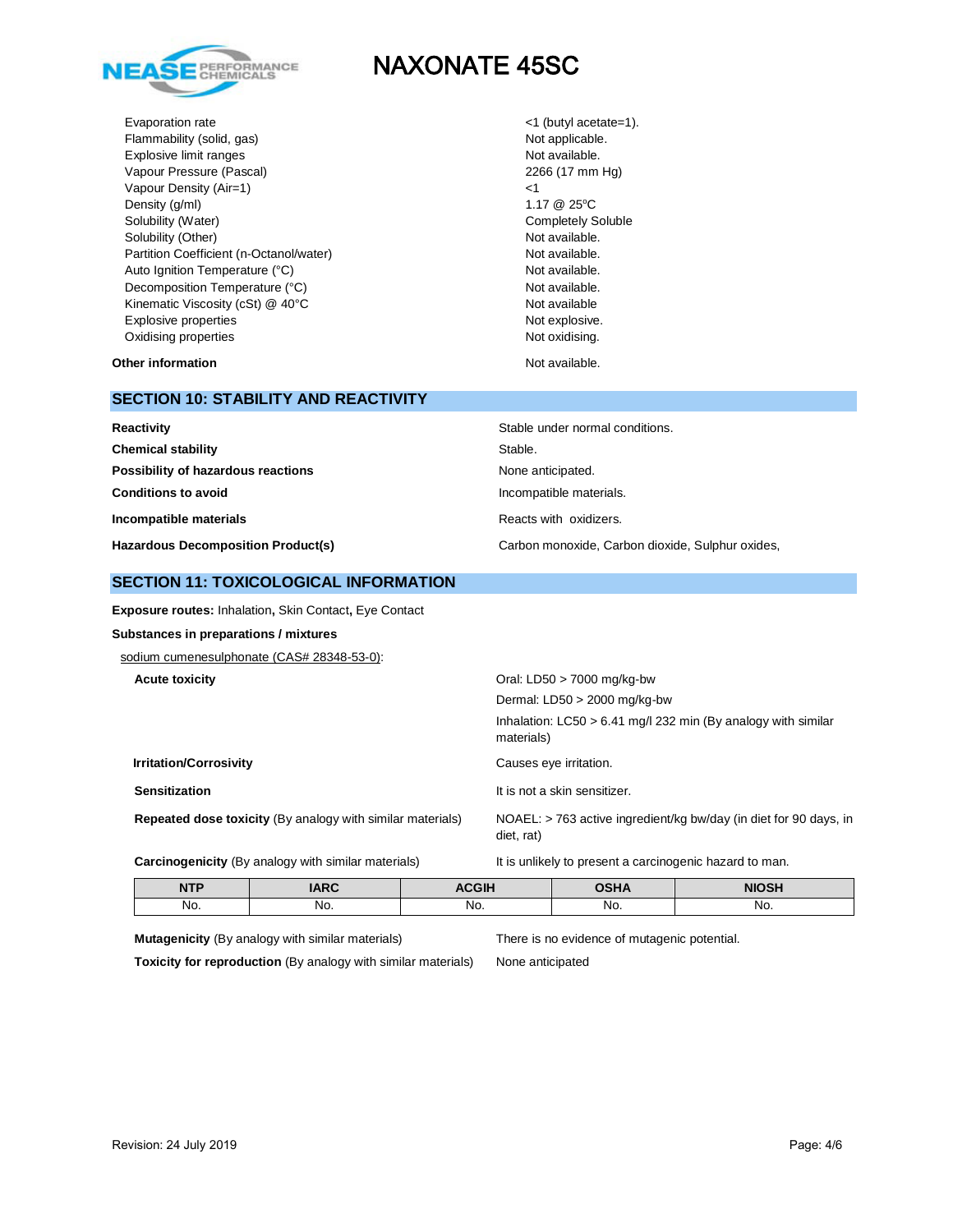

Evaporation rate  $\langle 1 \rangle$  (butyl acetate=1). Flammability (solid, gas) Not applicable. Explosive limit ranges Not available. Vapour Pressure (Pascal) 2266 (17 mm Hg) Vapour Density (Air=1)  $\leq$  25°C<br>Density (g/ml) 1.17 @ 25°C Density (g/ml) Solubility (Water) Completely Soluble Solubility (Other) Not available. Partition Coefficient (n-Octanol/water) Not available. Auto Ignition Temperature (°C) and the control of the Not available. Decomposition Temperature (°C) Not available. Kinematic Viscosity (cSt) @ 40°C Not available Not available Explosive properties Not explosive. Oxidising properties **Not oxidising** properties Not oxidising.

**Other information Not available. Other information** 

# **SECTION 10: STABILITY AND REACTIVITY**

| Reactivity                                | Stable under normal conditions.                  |
|-------------------------------------------|--------------------------------------------------|
| <b>Chemical stability</b>                 | Stable.                                          |
| Possibility of hazardous reactions        | None anticipated.                                |
| <b>Conditions to avoid</b>                | Incompatible materials.                          |
| Incompatible materials                    | Reacts with oxidizers.                           |
| <b>Hazardous Decomposition Product(s)</b> | Carbon monoxide, Carbon dioxide, Sulphur oxides, |

### **SECTION 11: TOXICOLOGICAL INFORMATION**

**Exposure routes:** Inhalation**,** Skin Contact**,** Eye Contact

### **Substances in preparations / mixtures**

sodium cumenesulphonate (CAS# 28348-53-0):

| <b>Acute toxicity</b>                                             | Oral: LD50 $>$ 7000 mg/kg-bw                                                    |
|-------------------------------------------------------------------|---------------------------------------------------------------------------------|
|                                                                   | Dermal: $LD50 > 2000$ mg/kg-bw                                                  |
|                                                                   | Inhalation: $LC50 > 6.41$ mg/l 232 min (By analogy with similar<br>materials)   |
| <b>Irritation/Corrosivity</b>                                     | Causes eye irritation.                                                          |
| <b>Sensitization</b>                                              | It is not a skin sensitizer.                                                    |
| <b>Repeated dose toxicity (By analogy with similar materials)</b> | NOAEL: > 763 active ingredient/kg bw/day (in diet for 90 days, in<br>diet, rat) |

Carcinogenicity (By analogy with similar materials) It is unlikely to present a carcinogenic hazard to man.

| <b>NTP</b> | ADC | <b>ACGIF</b> | <b>OSHA</b> | <b>NIOSH</b> |
|------------|-----|--------------|-------------|--------------|
| No.        | No. | No.          | No.         | No.          |

**Mutagenicity** (By analogy with similar materials) There is no evidence of mutagenic potential.

**Toxicity for reproduction** (By analogy with similar materials) None anticipated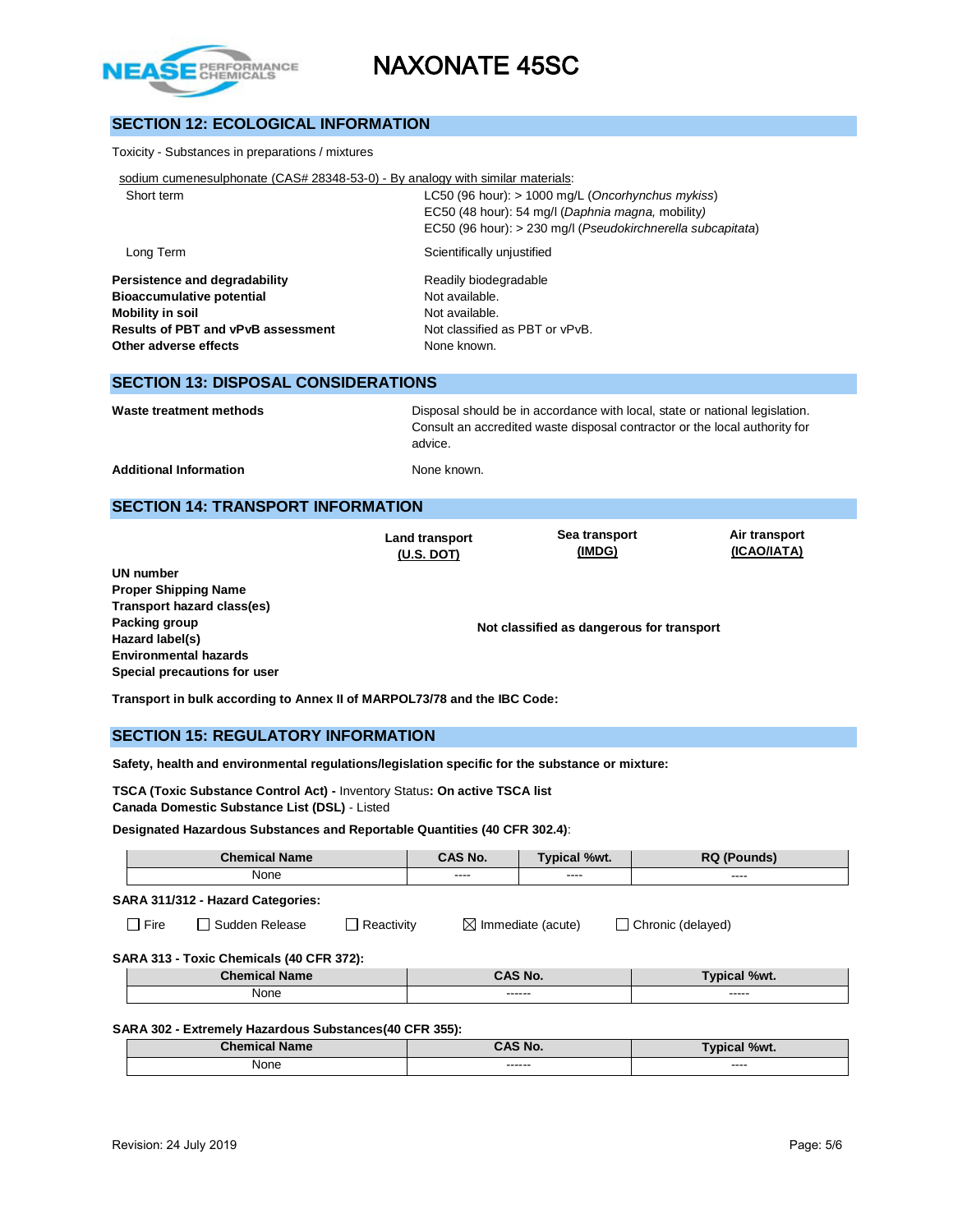

# **SECTION 12: ECOLOGICAL INFORMATION**

#### Toxicity - Substances in preparations / mixtures

| sodium cumenesulphonate (CAS# 28348-53-0) - By analogy with similar materials: |  |  |  |  |  |
|--------------------------------------------------------------------------------|--|--|--|--|--|
|                                                                                |  |  |  |  |  |

| Short term | LC50 (96 hour): $> 1000$ mg/L (Oncorhynchus mykiss)         |
|------------|-------------------------------------------------------------|
|            | EC50 (48 hour): 54 mg/l (Daphnia magna, mobility)           |
|            | EC50 (96 hour): > 230 mg/l (Pseudokirchnerella subcapitata) |
| Long Term  | Scientifically unjustified                                  |

**Persistence and degradability** Readily biodegradable **Bioaccumulative potential Not available. Mobility in soil Mobility in soil Results of PBT and vPvB assessment** Not classified as PBT or vPvB. **Other adverse effects** None known.

### **SECTION 13: DISPOSAL CONSIDERATIONS**

**Waste treatment methods** Disposal should be in accordance with local, state or national legislation. Consult an accredited waste disposal contractor or the local authority for advice.

Additional Information **None known.** None known.

### **SECTION 14: TRANSPORT INFORMATION**

**Land transport (U.S. DOT)**

**Sea transport (IMDG)**

**Air transport (ICAO/IATA)**

**UN number Proper Shipping Name Transport hazard class(es) Packing group Hazard label(s) Environmental hazards Special precautions for user**

**Not classified as dangerous for transport**

**Transport in bulk according to Annex II of MARPOL73/78 and the IBC Code:** 

### **SECTION 15: REGULATORY INFORMATION**

**Safety, health and environmental regulations/legislation specific for the substance or mixture:**

**TSCA (Toxic Substance Control Act) -** Inventory Status**: On active TSCA list Canada Domestic Substance List (DSL)** - Listed

#### **Designated Hazardous Substances and Reportable Quantities (40 CFR 302.4)**:

| <b>Chemical Name</b>                     |                       |                   | CAS No.                                            | Typical %wt. | <b>RQ (Pounds)</b>  |  |  |  |
|------------------------------------------|-----------------------|-------------------|----------------------------------------------------|--------------|---------------------|--|--|--|
| None                                     |                       |                   | ----                                               | ----         | ----                |  |  |  |
| SARA 311/312 - Hazard Categories:        |                       |                   |                                                    |              |                     |  |  |  |
| $\Box$ Fire                              | $\Box$ Sudden Release | $\Box$ Reactivity | $\boxtimes$ Immediate (acute)<br>Chronic (delayed) |              |                     |  |  |  |
| SARA 313 - Toxic Chemicals (40 CFR 372): |                       |                   |                                                    |              |                     |  |  |  |
| <b>Chemical Name</b>                     |                       |                   |                                                    | CAS No.      | <b>Typical %wt.</b> |  |  |  |
| None                                     |                       |                   |                                                    | ------       | -----               |  |  |  |
|                                          |                       |                   |                                                    |              |                     |  |  |  |

### **SARA 302 - Extremely Hazardous Substances(40 CFR 355):**

| $  -$<br><b>Chamissi</b><br>`al Name<br>⊸ner | <b>CAS No.</b>    | <b>Typical %wt.</b> |
|----------------------------------------------|-------------------|---------------------|
| None                                         | ------<br>------- | ----<br>_____       |